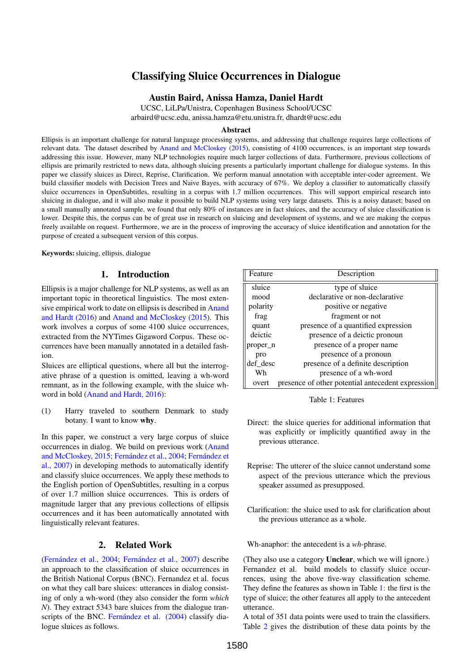# Classifying Sluice Occurrences in Dialogue

#### Austin Baird, Anissa Hamza, Daniel Hardt

UCSC, LiLPa/Unistra, Copenhagen Business School/UCSC

arbaird@ucsc.edu, anissa.hamza@etu.unistra.fr, dhardt@ucsc.edu

#### Abstract

Ellipsis is an important challenge for natural language processing systems, and addressing that challenge requires large collections of relevant data. The dataset described by [Anand and McCloskey \(2015\)](#page-3-0), consisting of 4100 occurrences, is an important step towards addressing this issue. However, many NLP technologies require much larger collections of data. Furthermore, previous collections of ellipsis are primarily restricted to news data, although sluicing presents a particularly important challenge for dialogue systems. In this paper we classify sluices as Direct, Reprise, Clarification. We perform manual annotation with acceptable inter-coder agreement. We build classifier models with Decision Trees and Naive Bayes, with accuracy of 67%. We deploy a classifier to automatically classify sluice occurrences in OpenSubtitles, resulting in a corpus with 1.7 million occurrences. This will support empirical research into sluicing in dialogue, and it will also make it possible to build NLP systems using very large datasets. This is a noisy dataset; based on a small manually annotated sample, we found that only 80% of instances are in fact sluices, and the accuracy of sluice classification is lower. Despite this, the corpus can be of great use in research on sluicing and development of systems, and we are making the corpus freely available on request. Furthermore, we are in the process of improving the accuracy of sluice identification and annotation for the purpose of created a subsequent version of this corpus.

Keywords: sluicing, ellipsis, dialogue

## 1. Introduction

Ellipsis is a major challenge for NLP systems, as well as an important topic in theoretical linguistics. The most extensive empirical work to date on ellipsis is described in [Anand](#page-3-1) [and Hardt \(2016\)](#page-3-1) and [Anand and McCloskey \(2015\)](#page-3-0). This work involves a corpus of some 4100 sluice occurrences, extracted from the NYTimes Gigaword Corpus. These occurrences have been manually annotated in a detailed fashion.

Sluices are elliptical questions, where all but the interrogative phrase of a question is omitted, leaving a wh-word remnant, as in the following example, with the sluice whword in bold [\(Anand and Hardt, 2016\)](#page-3-1):

(1) Harry traveled to southern Denmark to study botany. I want to know why.

In this paper, we construct a very large corpus of sluice occurrences in dialog. We build on previous work [\(Anand](#page-3-0) [and McCloskey, 2015;](#page-3-0) [Fernández et al., 2004;](#page-3-2) [Fernández et](#page-3-3) [al., 2007\)](#page-3-3) in developing methods to automatically identify and classify sluice occurrences. We apply these methods to the English portion of OpenSubtitles, resulting in a corpus of over 1.7 million sluice occurrences. This is orders of magnitude larger that any previous collections of ellipsis occurrences and it has been automatically annotated with linguistically relevant features.

# 2. Related Work

[\(Fernández et al., 2004;](#page-3-2) [Fernández et al., 2007\)](#page-3-3) describe an approach to the classification of sluice occurrences in the British National Corpus (BNC). Fernandez et al. focus on what they call bare sluices: utterances in dialog consisting of only a wh-word (they also consider the form *which N*). They extract 5343 bare sluices from the dialogue transcripts of the BNC. [Fernández et al. \(2004\)](#page-3-2) classify dialogue sluices as follows.

| Feature  | Description                                       |
|----------|---------------------------------------------------|
| sluice   | type of sluice                                    |
| mood     | declarative or non-declarative                    |
| polarity | positive or negative                              |
| frag     | fragment or not                                   |
| quant    | presence of a quantified expression               |
| deictic  | presence of a deictic pronoun                     |
| proper n | presence of a proper name                         |
| pro      | presence of a pronoun                             |
| def desc | presence of a definite description                |
| Wh       | presence of a wh-word                             |
| overt    | presence of other potential antecedent expression |

<span id="page-0-0"></span>Table 1: Features

- Direct: the sluice queries for additional information that was explicitly or implicitly quantified away in the previous utterance.
- Reprise: The utterer of the sluice cannot understand some aspect of the previous utterance which the previous speaker assumed as presupposed.
- Clarification: the sluice used to ask for clarification about the previous utterance as a whole.

Wh-anaphor: the antecedent is a *wh*-phrase.

(They also use a category Unclear, which we will ignore.) Fernandez et al. build models to classify sluice occurrences, using the above five-way classification scheme. They define the features as shown in Table [1:](#page-0-0) the first is the type of sluice; the other features all apply to the antecedent utterance.

A total of 351 data points were used to train the classifiers. Table [2](#page-1-0) gives the distribution of these data points by the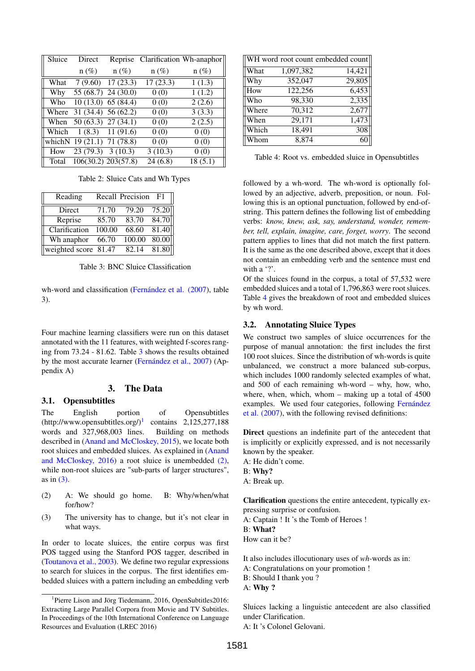| Sluice | Direct                      |                     |          | Reprise Clarification Wh-anaphor |
|--------|-----------------------------|---------------------|----------|----------------------------------|
|        | $n (\%)$                    | $n(\%)$             | $n (\%)$ | $n(\%)$                          |
| What   |                             | $7(9.60)$ 17(23.3)  | 17(23.3) | 1(1.3)                           |
| Why    |                             | 55 (68.7) 24 (30.0) | 0(0)     | 1(1.2)                           |
| Who    | $10(13.0)$ 65 (84.4)        |                     | 0(0)     | 2(2.6)                           |
|        | Where 31 (34.4) 56 (62.2)   |                     | 0(0)     | 3(3.3)                           |
|        | When 50 (63.3) 27 (34.1)    |                     | 0(0)     | 2(2.5)                           |
|        | Which 1 (8.3) 11 (91.6)     |                     | 0(0)     | 0(0)                             |
|        | which N 19 (21.1) 71 (78.8) |                     | 0(0)     | 0(0)                             |
| How    | $23(79.3)$ 3(10.3)          |                     | 3(10.3)  | 0(0)                             |
| Total  |                             | 106(30.2) 203(57.8) | 24(6.8)  | 18(5.1)                          |

<span id="page-1-0"></span>Table 2: Sluice Cats and Wh Types

| Reading                           |        | Recall Precision | F1    |
|-----------------------------------|--------|------------------|-------|
| Direct                            | 71.70  | 79.20            | 75.20 |
| Reprise                           | 85.70  | 83.70            | 84.70 |
| Clarification                     | 100.00 | 68.60            | 81.40 |
| Wh anaphor                        | 66.70  | 100.00           | 80.00 |
| weighted score $\overline{81.47}$ |        | 82.14            | 81.80 |

<span id="page-1-1"></span>Table 3: BNC Sluice Classification

wh-word and classification [\(Fernández et al. \(2007\)](#page-3-3), table 3).

Four machine learning classifiers were run on this dataset annotated with the 11 features, with weighted f-scores ranging from 73.24 - 81.62. Table [3](#page-1-1) shows the results obtained by the most accurate learner [\(Fernández et al., 2007\)](#page-3-3) (Appendix A)

#### 3. The Data

#### 3.1. Opensubtitles

The English portion of Opensubtitles  $(http://www.opensubtitles.org/)<sup>1</sup> contains 2,125,277,188$  $(http://www.opensubtitles.org/)<sup>1</sup> contains 2,125,277,188$  $(http://www.opensubtitles.org/)<sup>1</sup> contains 2,125,277,188$ words and 327,968,003 lines. Building on methods described in [\(Anand and McCloskey, 2015\)](#page-3-0), we locate both root sluices and embedded sluices. As explained in [\(Anand](#page-3-4) [and McCloskey, 2016\)](#page-3-4) a root sluice is unembedded [\(2\),](#page-1-3) while non-root sluices are "sub-parts of larger structures", as in [\(3\).](#page-1-4)

- <span id="page-1-3"></span>(2) A: We should go home. B: Why/when/what for/how?
- <span id="page-1-4"></span>(3) The university has to change, but it's not clear in what ways.

In order to locate sluices, the entire corpus was first POS tagged using the Stanford POS tagger, described in [\(Toutanova et al., 2003\)](#page-3-5). We define two regular expressions to search for sluices in the corpus. The first identifies embedded sluices with a pattern including an embedding verb

|       | WH word root count embedded count |        |
|-------|-----------------------------------|--------|
| What  | 1,097,382                         | 14,421 |
| Why   | 352,047                           | 29,805 |
| How   | 122,256                           | 6,453  |
| Who   | 98,330                            | 2,335  |
| Where | 70,312                            | 2,677  |
| When  | 29,171                            | 1,473  |
| Which | 18,491                            | 308    |
| Whom  | 8,874                             |        |

<span id="page-1-5"></span>Table 4: Root vs. embedded sluice in Opensubtitles

followed by a wh-word. The wh-word is optionally followed by an adjective, adverb, preposition, or noun. Following this is an optional punctuation, followed by end-ofstring. This pattern defines the following list of embedding verbs: *know, knew, ask, say, understand, wonder, remember, tell, explain, imagine, care, forget, worry*. The second pattern applies to lines that did not match the first pattern. It is the same as the one described above, except that it does not contain an embedding verb and the sentence must end with a '?'.

Of the sluices found in the corpus, a total of 57,532 were embedded sluices and a total of 1,796,863 were root sluices. Table [4](#page-1-5) gives the breakdown of root and embedded sluices by wh word.

#### 3.2. Annotating Sluice Types

We construct two samples of sluice occurrences for the purpose of manual annotation: the first includes the first 100 root sluices. Since the distribution of wh-words is quite unbalanced, we construct a more balanced sub-corpus, which includes 1000 randomly selected examples of what, and 500 of each remaining wh-word – why, how, who, where, when, which, whom – making up a total of 4500 examples. We used four categories, following [Fernández](#page-3-3) [et al. \(2007\)](#page-3-3), with the following revised definitions:

Direct questions an indefinite part of the antecedent that is implicitly or explicitly expressed, and is not necessarily known by the speaker.

A: He didn't come. B: Why?

A: Break up.

Clarification questions the entire antecedent, typically expressing surprise or confusion.

A: Captain ! It 's the Tomb of Heroes ! B: What? How can it be?

It also includes illocutionary uses of *wh-*words as in:

- A: Congratulations on your promotion !
- B: Should I thank you ?
- A: Why ?

Sluices lacking a linguistic antecedent are also classified under Clarification.

A: It 's Colonel Gelovani.

<span id="page-1-2"></span><sup>&</sup>lt;sup>1</sup>Pierre Lison and Jörg Tiedemann, 2016, OpenSubtitles2016: Extracting Large Parallel Corpora from Movie and TV Subtitles. In Proceedings of the 10th International Conference on Language Resources and Evaluation (LREC 2016)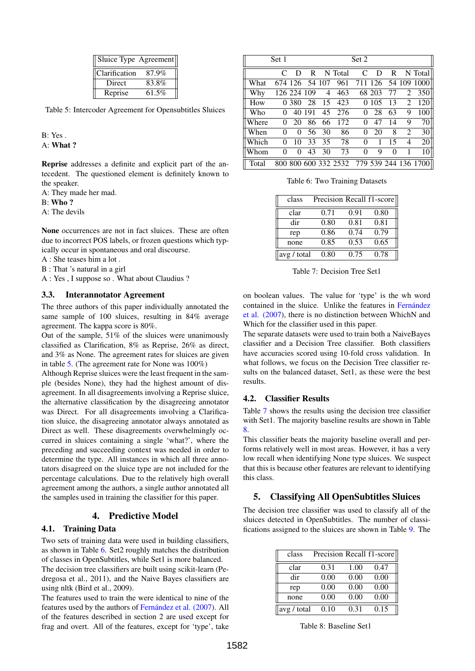| Sluice Type Agreement |       |
|-----------------------|-------|
| Clarification         | 87.9% |
| Direct                | 83.8% |
| Reprise               | 61.5% |

<span id="page-2-0"></span>Table 5: Intercoder Agreement for Opensubtitles Sluices

B: Yes . A: What ?

Reprise addresses a definite and explicit part of the antecedent. The questioned element is definitely known to the speaker.

A: They made her mad.

B: Who ?

A: The devils

None occurrences are not in fact sluices. These are often due to incorrect POS labels, or frozen questions which typically occur in spontaneous and oral discourse.

A : She teases him a lot .

B : That 's natural in a girl

A : Yes , I suppose so . What about Claudius ?

#### 3.3. Interannotator Agreement

The three authors of this paper individually annotated the same sample of 100 sluices, resulting in 84% average agreement. The kappa score is 80%.

Out of the sample, 51% of the sluices were unanimously classified as Clarification, 8% as Reprise, 26% as direct, and 3% as None. The agreement rates for sluices are given in table [5.](#page-2-0) (The agreement rate for None was 100%)

Although Reprise sluices were the least frequent in the sample (besides None), they had the highest amount of disagreement. In all disagreements involving a Reprise sluice, the alternative classification by the disagreeing annotator was Direct. For all disagreements involving a Clarification sluice, the disagreeing annotator always annotated as Direct as well. These disagreements overwhelmingly occurred in sluices containing a single 'what?', where the preceding and succeeding context was needed in order to determine the type. All instances in which all three annotators disagreed on the sluice type are not included for the percentage calculations. Due to the relatively high overall agreement among the authors, a single author annotated all the samples used in training the classifier for this paper.

#### 4. Predictive Model

#### 4.1. Training Data

Two sets of training data were used in building classifiers, as shown in Table [6.](#page-2-1) Set2 roughly matches the distribution of classes in OpenSubtitles, while Set1 is more balanced. The decision tree classifiers are built using scikit-learn (Pedregosa et al., 2011), and the Naive Bayes classifiers are using nltk (Bird et al., 2009).

The features used to train the were identical to nine of the features used by the authors of [Fernández et al. \(2007\)](#page-3-3). All of the features described in section 2 are used except for frag and overt. All of the features, except for 'type', take

|       | Set 1     |                |              |                |         | Set 2    |        |    |                |                                           |
|-------|-----------|----------------|--------------|----------------|---------|----------|--------|----|----------------|-------------------------------------------|
|       | $\subset$ | D              | $\mathbf{R}$ |                | N Total | C        | D      | R  |                | N Total                                   |
| What  |           | 674 126 54 107 |              |                | 961     |          |        |    |                | 711 126 54 109 1000                       |
| Why   |           | 126 224 109    |              | $\overline{4}$ | 463     |          | 68 203 | 77 | 2              | 350                                       |
| How   |           | 0.380          | 28           | 15             | 423     | 0        | 105    | 13 | 2              | 120                                       |
| Who   | 0         |                | 40 191       | 45             | 276     | $\theta$ | 28     | 63 | 9              | 100                                       |
| Where | $\Omega$  | 20             | 86           | 66             | 172     | $\Omega$ | 47     | 14 | 9              | 70                                        |
| When  | $\Omega$  | $\Omega$       | 56           | 30             | 86      | $\theta$ | 20     | 8  | 2              | 30                                        |
| Which | 0         | 10             | 33           | 35             | 78      | 0        |        | 15 | $\overline{4}$ | 20                                        |
| Whom  | 0         | $\theta$       | 43           | 30             | 73      | 0        | 9      | 0  |                | 10                                        |
| Total |           |                |              |                |         |          |        |    |                | 800 800 600 332 2532 779 539 244 136 1700 |

<span id="page-2-1"></span>Table 6: Two Training Datasets

| class       | Precision Recall f1-score |      |      |
|-------------|---------------------------|------|------|
| clar        | 0.71                      | 0.91 | 0.80 |
| dir         | 0.80                      | 0.81 | 0.81 |
| rep         | 0.86                      | 0.74 | 0.79 |
| none        | 0.85                      | 0.53 | 0.65 |
| avg / total | 0.80                      | 0.75 | 0.78 |

<span id="page-2-2"></span>Table 7: Decision Tree Set1

on boolean values. The value for 'type' is the wh word contained in the sluice. Unlike the features in [Fernández](#page-3-3) [et al. \(2007\)](#page-3-3), there is no distinction between WhichN and Which for the classifier used in this paper.

The separate datasets were used to train both a NaiveBayes classifier and a Decision Tree classifier. Both classifiers have accuracies scored using 10-fold cross validation. In what follows, we focus on the Decision Tree classifier results on the balanced dataset, Set1, as these were the best results.

#### 4.2. Classifier Results

Table [7](#page-2-2) shows the results using the decision tree classifier with Set1. The majority baseline results are shown in Table [8.](#page-2-3)

This classifier beats the majority baseline overall and performs relatively well in most areas. However, it has a very low recall when identifying None type sluices. We suspect that this is because other features are relevant to identifying this class.

### 5. Classifying All OpenSubtitles Sluices

The decision tree classifier was used to classify all of the sluices detected in OpenSubtitles. The number of classifications assigned to the sluices are shown in Table [9.](#page-3-6) The

| class       |      |      | Precision Recall f1-score |
|-------------|------|------|---------------------------|
| clar        | 0.31 | 1.00 | 0.47                      |
| dir         | 0.00 | 0.00 | 0.00                      |
| rep         | 0.00 | 0.00 | 0.00                      |
| none        | 0.00 | 0.00 | 0.00                      |
| avg / total | 0.10 | 0.31 | 0.15                      |

<span id="page-2-3"></span>Table 8: Baseline Set1